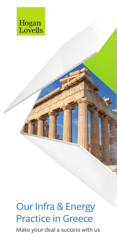

# Our Infra & Energy Practice in Greece

Make your deal a success with us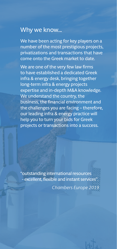#### Why we know...

We have been acting for key players on a number of the most prestigious projects, privatizations and transactions that have come onto the Greek market to date.

We are one of the very few law firms to have established a dedicated Greek infra & energy desk, bringing together long-term infra & energy projects expertise and in-depth M&A knowledge. We understand the country, the business, the financial environment and the challenges you are facing – therefore, our leading infra & energy practice will help you to turn your bids for Greek projects or transactions into a success.

"outstanding international resources - excellent, flexible and instant services".  *Chambers Europe 2019*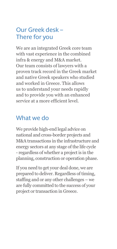## Our Greek desk – There for you

We are an integrated Greek core team with vast experience in the combined infra & energy and M&A market. Our team consists of lawyers with a proven track record in the Greek market and native Greek speakers who studied and worked in Greece. This allows us to understand your needs rapidly and to provide you with an enhanced service at a more efficient level.

## What we do

We provide high-end legal advice on national and cross-border projects and M&A transactions in the infrastructure and energy sectors at any stage of the life cycle - regardless of whether a project is in the planning, construction or operation phase.

If you need to get your deal done, we are prepared to deliver. Regardless of timing, staffing and or any other challenges – we are fully committed to the success of your project or transaction in Greece.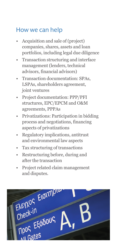# How we can help

- Acquisition and sale of (project) companies, shares, assets and loan portfolios, including legal due diligence
- Transaction structuring and interface management (lenders, technical advisors, financial advisors)
- Transaction documentation: SPAs, LSPAs, shareholders agreement, joint ventures
- Project documentation: PPP/PFI structures, EPC/EPCM and O&M agreements, PPPAs
- Privatizations: Participation in bidding process and negotiations, financing aspects of privatizations
- Regulatory implications, antitrust and environmental law aspects
- Tax structuring of transactions
- Restructuring before, during and after the transaction
- Project related claim management and disputes.

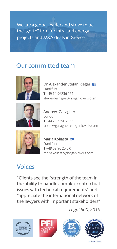We are a global leader and strive to be the "go-to" firm for infra and energy projects and M&A deals in Greece.

## Our committed team





Dr. Alexander Stefan Rieger Frankfurt T +49 69 96236 161 alexander.rieger@hoganlovells.com

Andrew Gallagher London T +44 20 7296 2566 andrew.gallagher@hoganlovells.com



Maria Koliasta 编 Frankfurt T +49 69 96 23 6 0 maria.koliasta@hoganlovells.com

# Voices

"Clients see the "strength of the team in the ability to handle complex contractual issues with technical requirements" and "appreciate the international network of the lawyers with important stakeholders"

 *Legal 500, 2018*